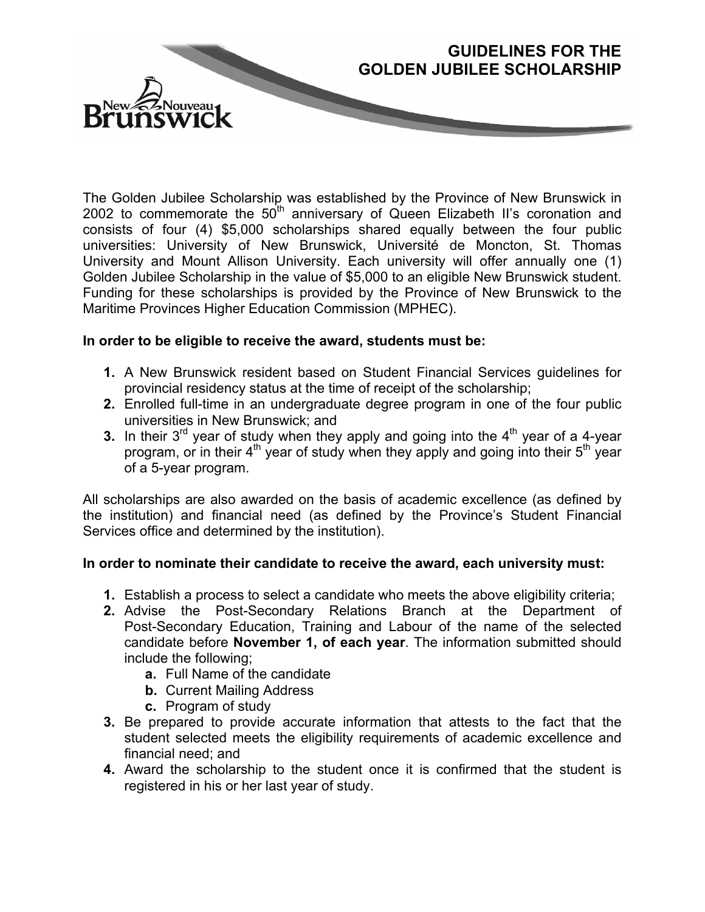

The Golden Jubilee Scholarship was established by the Province of New Brunswick in 2002 to commemorate the 50<sup>th</sup> anniversary of Queen Elizabeth II's coronation and consists of four (4) \$5,000 scholarships shared equally between the four public universities: University of New Brunswick, Université de Moncton, St. Thomas University and Mount Allison University. Each university will offer annually one (1) Golden Jubilee Scholarship in the value of \$5,000 to an eligible New Brunswick student. Funding for these scholarships is provided by the Province of New Brunswick to the Maritime Provinces Higher Education Commission (MPHEC).

**GUIDELINES FOR THE**

## **In order to be eligible to receive the award, students must be:**

- **1.** A New Brunswick resident based on Student Financial Services guidelines for provincial residency status at the time of receipt of the scholarship;
- **2.** Enrolled full-time in an undergraduate degree program in one of the four public universities in New Brunswick; and
- **3.** In their  $3^{rd}$  year of study when they apply and going into the  $4^{th}$  year of a 4-year program, or in their  $4<sup>th</sup>$  year of study when they apply and going into their  $5<sup>th</sup>$  year of a 5-year program.

All scholarships are also awarded on the basis of academic excellence (as defined by the institution) and financial need (as defined by the Province's Student Financial Services office and determined by the institution).

## **In order to nominate their candidate to receive the award, each university must:**

- **1.** Establish a process to select a candidate who meets the above eligibility criteria;
- **2.** Advise the Post-Secondary Relations Branch at the Department of Post-Secondary Education, Training and Labour of the name of the selected candidate before **November 1, of each year**. The information submitted should include the following;
	- **a.** Full Name of the candidate
	- **b.** Current Mailing Address
	- **c.** Program of study
- **3.** Be prepared to provide accurate information that attests to the fact that the student selected meets the eligibility requirements of academic excellence and financial need; and
- **4.** Award the scholarship to the student once it is confirmed that the student is registered in his or her last year of study.